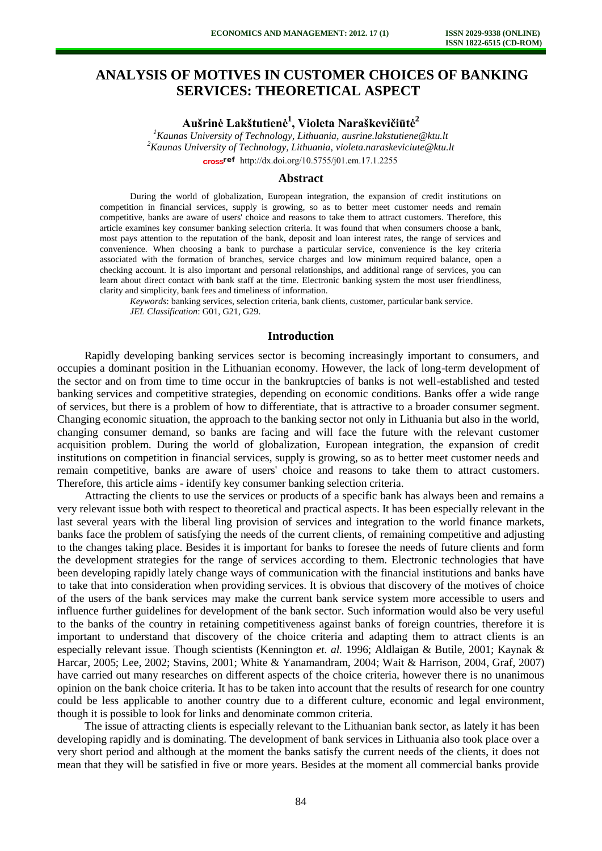# **ANALYSIS OF MOTIVES IN CUSTOMER CHOICES OF BANKING SERVICES: THEORETICAL ASPECT**

**Aušrinė Lakštutienė<sup>1</sup> , Violeta Naraškevičiūtė<sup>2</sup>**

*<sup>1</sup>Kaunas University of Technology, Lithuania, [ausrine.lakstutiene@ktu.lt](mailto:ausrine.lakstutiene@ktu.lt) <sup>2</sup>Kaunas University of Technology, Lithuania, [violeta.naraskeviciute@ktu.lt](mailto:violeta.naraskeviciute@ktu.lt)* cross<sup>ref</sup> [http://dx.doi.org/10.5755/j01.e](http://dx.doi.org/10.5755/j01.em.17.1.2255)m.17.1.2255

#### **Abstract**

During the world of globalization, European integration, the expansion of credit institutions on competition in financial services, supply is growing, so as to better meet customer needs and remain competitive, banks are aware of users' choice and reasons to take them to attract customers. Therefore, this article examines key consumer banking selection criteria. It was found that when consumers choose a bank, most pays attention to the reputation of the bank, deposit and loan interest rates, the range of services and convenience. When choosing a bank to purchase a particular service, convenience is the key criteria associated with the formation of branches, service charges and low minimum required balance, open a checking account. It is also important and personal relationships, and additional range of services, you can learn about direct contact with bank staff at the time. Electronic banking system the most user friendliness, clarity and simplicity, bank fees and timeliness of information.

*Keywords*: banking services, selection criteria, bank clients, customer, particular bank service. *JEL Classification*: G01, G21, G29.

# **Introduction**

Rapidly developing banking services sector is becoming increasingly important to consumers, and occupies a dominant position in the Lithuanian economy. However, the lack of long-term development of the sector and on from time to time occur in the bankruptcies of banks is not well-established and tested banking services and competitive strategies, depending on economic conditions. Banks offer a wide range of services, but there is a problem of how to differentiate, that is attractive to a broader consumer segment. Changing economic situation, the approach to the banking sector not only in Lithuania but also in the world, changing consumer demand, so banks are facing and will face the future with the relevant customer acquisition problem. During the world of globalization, European integration, the expansion of credit institutions on competition in financial services, supply is growing, so as to better meet customer needs and remain competitive, banks are aware of users' choice and reasons to take them to attract customers. Therefore, this article aims - identify key consumer banking selection criteria.

Attracting the clients to use the services or products of a specific bank has always been and remains a very relevant issue both with respect to theoretical and practical aspects. It has been especially relevant in the last several years with the liberal ling provision of services and integration to the world finance markets, banks face the problem of satisfying the needs of the current clients, of remaining competitive and adjusting to the changes taking place. Besides it is important for banks to foresee the needs of future clients and form the development strategies for the range of services according to them. Electronic technologies that have been developing rapidly lately change ways of communication with the financial institutions and banks have to take that into consideration when providing services. It is obvious that discovery of the motives of choice of the users of the bank services may make the current bank service system more accessible to users and influence further guidelines for development of the bank sector. Such information would also be very useful to the banks of the country in retaining competitiveness against banks of foreign countries, therefore it is important to understand that discovery of the choice criteria and adapting them to attract clients is an especially relevant issue. Though scientists (Kennington *et. al.* 1996; Aldlaigan & Butile, 2001; Kaynak & Harcar, 2005; Lee, 2002; Stavins, 2001; White & Yanamandram, 2004; Wait & Harrison, 2004, Graf, 2007) have carried out many researches on different aspects of the choice criteria, however there is no unanimous opinion on the bank choice criteria. It has to be taken into account that the results of research for one country could be less applicable to another country due to a different culture, economic and legal environment, though it is possible to look for links and denominate common criteria.

The issue of attracting clients is especially relevant to the Lithuanian bank sector, as lately it has been developing rapidly and is dominating. The development of bank services in Lithuania also took place over a very short period and although at the moment the banks satisfy the current needs of the clients, it does not mean that they will be satisfied in five or more years. Besides at the moment all commercial banks provide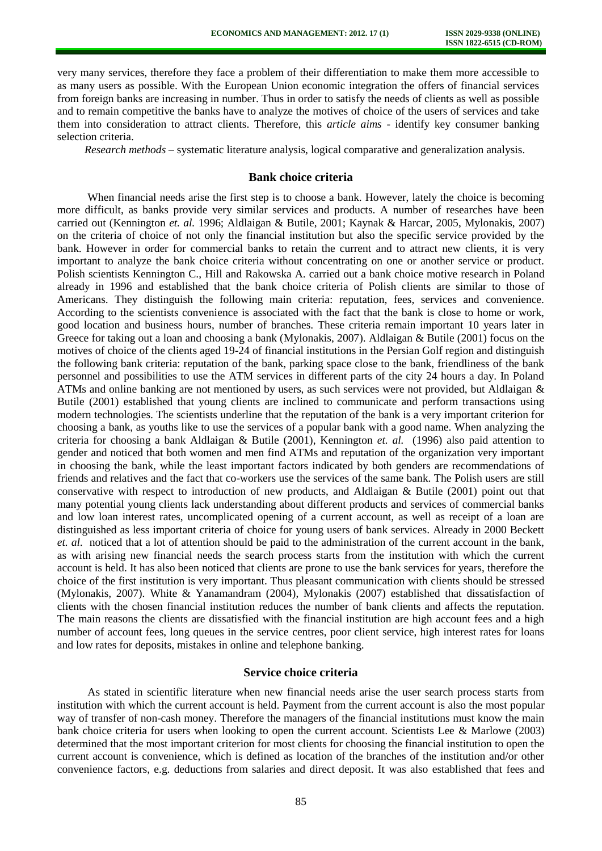very many services, therefore they face a problem of their differentiation to make them more accessible to as many users as possible. With the European Union economic integration the offers of financial services from foreign banks are increasing in number. Thus in order to satisfy the needs of clients as well as possible and to remain competitive the banks have to analyze the motives of choice of the users of services and take them into consideration to attract clients. Therefore, this *article aims* - identify key consumer banking selection criteria.

*Research methods* – systematic literature analysis, logical comparative and generalization analysis.

# **Bank choice criteria**

When financial needs arise the first step is to choose a bank. However, lately the choice is becoming more difficult, as banks provide very similar services and products. A number of researches have been carried out (Kennington *et. al.* 1996; Aldlaigan & Butile, 2001; Kaynak & Harcar, 2005, Mylonakis, 2007) on the criteria of choice of not only the financial institution but also the specific service provided by the bank. However in order for commercial banks to retain the current and to attract new clients, it is very important to analyze the bank choice criteria without concentrating on one or another service or product. Polish scientists Kennington C., Hill and Rakowska A. carried out a bank choice motive research in Poland already in 1996 and established that the bank choice criteria of Polish clients are similar to those of Americans. They distinguish the following main criteria: reputation, fees, services and convenience. According to the scientists convenience is associated with the fact that the bank is close to home or work, good location and business hours, number of branches. These criteria remain important 10 years later in Greece for taking out a loan and choosing a bank (Mylonakis, 2007). Aldlaigan & Butile (2001) focus on the motives of choice of the clients aged 19-24 of financial institutions in the Persian Golf region and distinguish the following bank criteria: reputation of the bank, parking space close to the bank, friendliness of the bank personnel and possibilities to use the ATM services in different parts of the city 24 hours a day. In Poland ATMs and online banking are not mentioned by users, as such services were not provided, but Aldlaigan & Butile (2001) established that young clients are inclined to communicate and perform transactions using modern technologies. The scientists underline that the reputation of the bank is a very important criterion for choosing a bank, as youths like to use the services of a popular bank with a good name. When analyzing the criteria for choosing a bank Aldlaigan & Butile (2001), Kennington *et. al.* (1996) also paid attention to gender and noticed that both women and men find ATMs and reputation of the organization very important in choosing the bank, while the least important factors indicated by both genders are recommendations of friends and relatives and the fact that co-workers use the services of the same bank. The Polish users are still conservative with respect to introduction of new products, and Aldlaigan & Butile (2001) point out that many potential young clients lack understanding about different products and services of commercial banks and low loan interest rates, uncomplicated opening of a current account, as well as receipt of a loan are distinguished as less important criteria of choice for young users of bank services. Already in 2000 Beckett *et. al.* noticed that a lot of attention should be paid to the administration of the current account in the bank, as with arising new financial needs the search process starts from the institution with which the current account is held. It has also been noticed that clients are prone to use the bank services for years, therefore the choice of the first institution is very important. Thus pleasant communication with clients should be stressed (Mylonakis, 2007). White & Yanamandram (2004), Mylonakis (2007) established that dissatisfaction of clients with the chosen financial institution reduces the number of bank clients and affects the reputation. The main reasons the clients are dissatisfied with the financial institution are high account fees and a high number of account fees, long queues in the service centres, poor client service, high interest rates for loans and low rates for deposits, mistakes in online and telephone banking.

# **Service choice criteria**

As stated in scientific literature when new financial needs arise the user search process starts from institution with which the current account is held. Payment from the current account is also the most popular way of transfer of non-cash money. Therefore the managers of the financial institutions must know the main bank choice criteria for users when looking to open the current account. Scientists Lee & Marlowe (2003) determined that the most important criterion for most clients for choosing the financial institution to open the current account is convenience, which is defined as location of the branches of the institution and/or other convenience factors, e.g. deductions from salaries and direct deposit. It was also established that fees and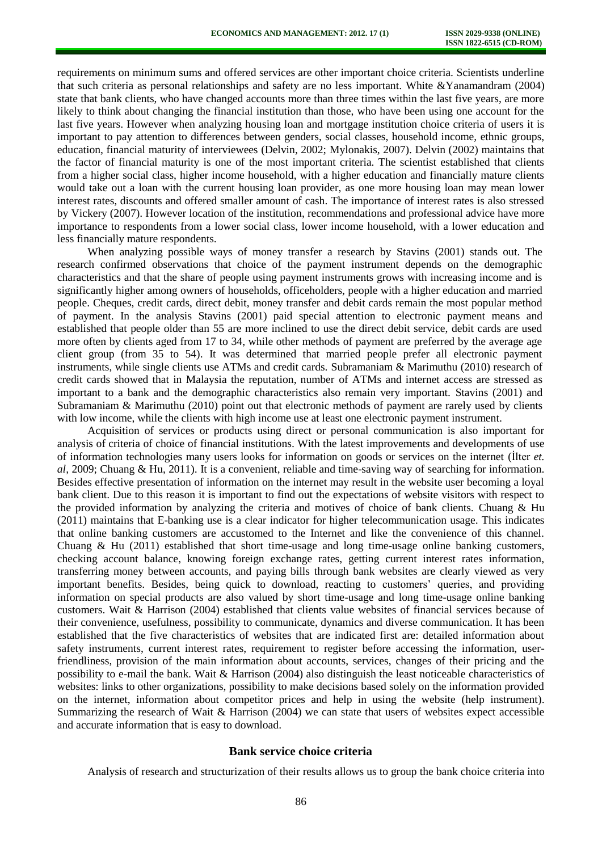requirements on minimum sums and offered services are other important choice criteria. Scientists underline that such criteria as personal relationships and safety are no less important. White &Yanamandram (2004) state that bank clients, who have changed accounts more than three times within the last five years, are more likely to think about changing the financial institution than those, who have been using one account for the last five years. However when analyzing housing loan and mortgage institution choice criteria of users it is important to pay attention to differences between genders, social classes, household income, ethnic groups, education, financial maturity of interviewees (Delvin, 2002; Mylonakis, 2007). Delvin (2002) maintains that the factor of financial maturity is one of the most important criteria. The scientist established that clients from a higher social class, higher income household, with a higher education and financially mature clients would take out a loan with the current housing loan provider, as one more housing loan may mean lower interest rates, discounts and offered smaller amount of cash. The importance of interest rates is also stressed by Vickery (2007). However location of the institution, recommendations and professional advice have more importance to respondents from a lower social class, lower income household, with a lower education and less financially mature respondents.

When analyzing possible ways of money transfer a research by Stavins (2001) stands out. The research confirmed observations that choice of the payment instrument depends on the demographic characteristics and that the share of people using payment instruments grows with increasing income and is significantly higher among owners of households, officeholders, people with a higher education and married people. Cheques, credit cards, direct debit, money transfer and debit cards remain the most popular method of payment. In the analysis Stavins (2001) paid special attention to electronic payment means and established that people older than 55 are more inclined to use the direct debit service, debit cards are used more often by clients aged from 17 to 34, while other methods of payment are preferred by the average age client group (from 35 to 54). It was determined that married people prefer all electronic payment instruments, while single clients use ATMs and credit cards. Subramaniam & Marimuthu (2010) research of credit cards showed that in Malaysia the reputation, number of ATMs and internet access are stressed as important to a bank and the demographic characteristics also remain very important. Stavins (2001) and Subramaniam & Marimuthu (2010) point out that electronic methods of payment are rarely used by clients with low income, while the clients with high income use at least one electronic payment instrument.

Acquisition of services or products using direct or personal communication is also important for analysis of criteria of choice of financial institutions. With the latest improvements and developments of use of information technologies many users looks for information on goods or services on the internet (İlter *et. al,* 2009; Chuang & Hu, 2011). It is a convenient, reliable and time-saving way of searching for information. Besides effective presentation of information on the internet may result in the website user becoming a loyal bank client. Due to this reason it is important to find out the expectations of website visitors with respect to the provided information by analyzing the criteria and motives of choice of bank clients. Chuang & Hu (2011) maintains that E-banking use is a clear indicator for higher telecommunication usage. This indicates that online banking customers are accustomed to the Internet and like the convenience of this channel. Chuang & Hu (2011) established that short time-usage and long time-usage online banking customers, checking account balance, knowing foreign exchange rates, getting current interest rates information, transferring money between accounts, and paying bills through bank websites are clearly viewed as very important benefits. Besides, being quick to download, reacting to customers' queries, and providing information on special products are also valued by short time-usage and long time-usage online banking customers. Wait & Harrison (2004) established that clients value websites of financial services because of their convenience, usefulness, possibility to communicate, dynamics and diverse communication. It has been established that the five characteristics of websites that are indicated first are: detailed information about safety instruments, current interest rates, requirement to register before accessing the information, userfriendliness, provision of the main information about accounts, services, changes of their pricing and the possibility to e-mail the bank. Wait & Harrison (2004) also distinguish the least noticeable characteristics of websites: links to other organizations, possibility to make decisions based solely on the information provided on the internet, information about competitor prices and help in using the website (help instrument). Summarizing the research of Wait & Harrison (2004) we can state that users of websites expect accessible and accurate information that is easy to download.

#### **Bank service choice criteria**

Analysis of research and structurization of their results allows us to group the bank choice criteria into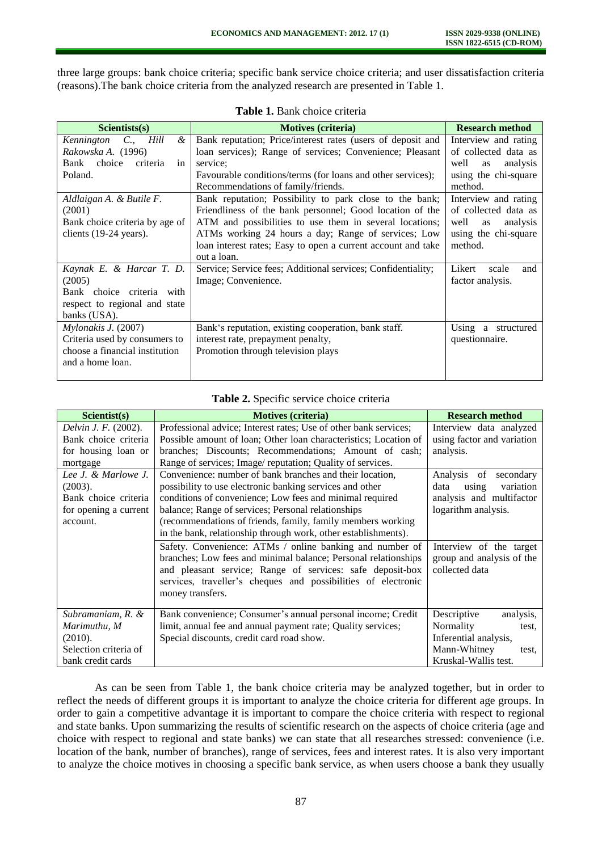three large groups: bank choice criteria; specific bank service choice criteria; and user dissatisfaction criteria (reasons).The bank choice criteria from the analyzed research are presented in Table 1.

| Scientists(s)                          | <b>Motives (criteria)</b>                                    | <b>Research method</b> |
|----------------------------------------|--------------------------------------------------------------|------------------------|
| Kennington<br>&<br>$C_{\cdot}$<br>Hill | Bank reputation; Price/interest rates (users of deposit and  | Interview and rating   |
| Rakowska A. (1996)                     | loan services); Range of services; Convenience; Pleasant     | of collected data as   |
| choice<br>Bank<br>criteria<br>in       | service:                                                     | analysis<br>well<br>as |
| Poland.                                | Favourable conditions/terms (for loans and other services);  | using the chi-square   |
|                                        | Recommendations of family/friends.                           | method.                |
| Aldlaigan A. & Butile F.               | Bank reputation; Possibility to park close to the bank;      | Interview and rating   |
| (2001)                                 | Friendliness of the bank personnel; Good location of the     | of collected data as   |
| Bank choice criteria by age of         | ATM and possibilities to use them in several locations;      | well<br>analysis<br>as |
| clients (19-24 years).                 | ATMs working 24 hours a day; Range of services; Low          | using the chi-square   |
|                                        | loan interest rates; Easy to open a current account and take | method.                |
|                                        | out a loan.                                                  |                        |
| Kaynak E. & Harcar T. D.               | Service; Service fees; Additional services; Confidentiality; | Likert<br>scale<br>and |
| (2005)                                 | Image; Convenience.                                          | factor analysis.       |
| Bank choice criteria with              |                                                              |                        |
| respect to regional and state          |                                                              |                        |
| banks (USA).                           |                                                              |                        |
| Mylonakis J. (2007)                    | Bank's reputation, existing cooperation, bank staff.         |                        |
| Criteria used by consumers to          | interest rate, prepayment penalty,                           | questionnaire.         |
| choose a financial institution         | Promotion through television plays                           |                        |
| and a home loan.                       |                                                              |                        |
|                                        |                                                              |                        |

**Table 1.** Bank choice criteria

| Table 2. Specific service choice criteria |  |  |
|-------------------------------------------|--|--|
|                                           |  |  |

| Scientist(s)                | <b>Motives (criteria)</b>                                                                                                                                                                                                                                                    | <b>Research method</b>                                                 |
|-----------------------------|------------------------------------------------------------------------------------------------------------------------------------------------------------------------------------------------------------------------------------------------------------------------------|------------------------------------------------------------------------|
| <i>Delvin J. F.</i> (2002). | Professional advice; Interest rates; Use of other bank services;                                                                                                                                                                                                             | Interview data analyzed                                                |
| Bank choice criteria        | Possible amount of loan; Other loan characteristics; Location of                                                                                                                                                                                                             | using factor and variation                                             |
| for housing loan or         | branches; Discounts; Recommendations; Amount of cash;                                                                                                                                                                                                                        | analysis.                                                              |
| mortgage                    | Range of services; Image/ reputation; Quality of services.                                                                                                                                                                                                                   |                                                                        |
| Lee J. & Marlowe J.         | Convenience: number of bank branches and their location,                                                                                                                                                                                                                     | Analysis of<br>secondary                                               |
| (2003).                     | possibility to use electronic banking services and other                                                                                                                                                                                                                     | variation<br>using<br>data                                             |
| Bank choice criteria        | conditions of convenience; Low fees and minimal required                                                                                                                                                                                                                     | analysis and multifactor                                               |
| for opening a current       | balance; Range of services; Personal relationships                                                                                                                                                                                                                           | logarithm analysis.                                                    |
| account.                    | (recommendations of friends, family, family members working                                                                                                                                                                                                                  |                                                                        |
|                             | in the bank, relationship through work, other establishments).                                                                                                                                                                                                               |                                                                        |
|                             | Safety. Convenience: ATMs / online banking and number of<br>branches; Low fees and minimal balance; Personal relationships<br>and pleasant service; Range of services: safe deposit-box<br>services, traveller's cheques and possibilities of electronic<br>money transfers. | Interview of the target<br>group and analysis of the<br>collected data |
| Subramaniam, R. &           | Bank convenience; Consumer's annual personal income; Credit                                                                                                                                                                                                                  | Descriptive<br>analysis,                                               |
| Marimuthu, M                | limit, annual fee and annual payment rate; Quality services;                                                                                                                                                                                                                 | Normality<br>test,                                                     |
| (2010).                     | Special discounts, credit card road show.                                                                                                                                                                                                                                    | Inferential analysis,                                                  |
| Selection criteria of       |                                                                                                                                                                                                                                                                              | Mann-Whitney<br>test,                                                  |
| bank credit cards           |                                                                                                                                                                                                                                                                              | Kruskal-Wallis test.                                                   |

As can be seen from Table 1, the bank choice criteria may be analyzed together, but in order to reflect the needs of different groups it is important to analyze the choice criteria for different age groups. In order to gain a competitive advantage it is important to compare the choice criteria with respect to regional and state banks. Upon summarizing the results of scientific research on the aspects of choice criteria (age and choice with respect to regional and state banks) we can state that all researches stressed: convenience (i.e. location of the bank, number of branches), range of services, fees and interest rates. It is also very important to analyze the choice motives in choosing a specific bank service, as when users choose a bank they usually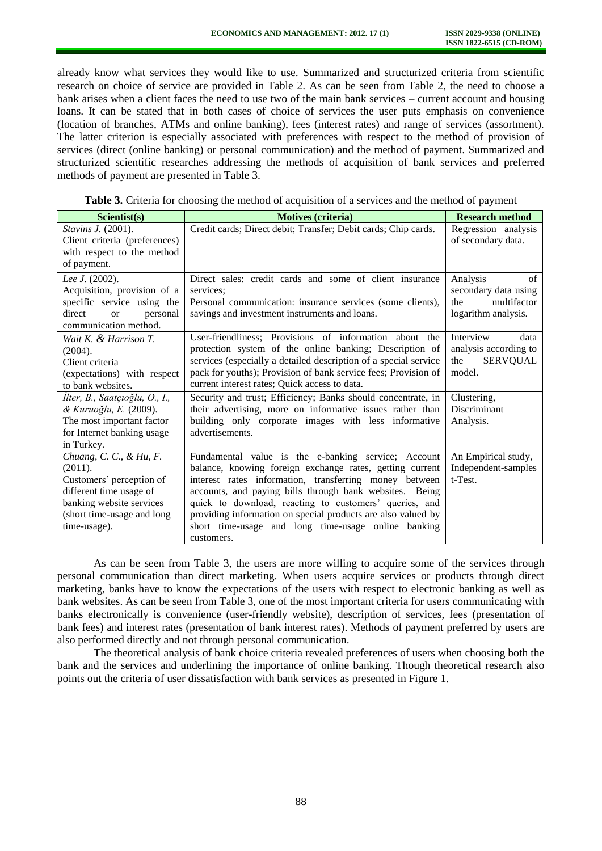already know what services they would like to use. Summarized and structurized criteria from scientific research on choice of service are provided in Table 2. As can be seen from Table 2, the need to choose a bank arises when a client faces the need to use two of the main bank services – current account and housing loans. It can be stated that in both cases of choice of services the user puts emphasis on convenience (location of branches, ATMs and online banking), fees (interest rates) and range of services (assortment). The latter criterion is especially associated with preferences with respect to the method of provision of services (direct (online banking) or personal communication) and the method of payment. Summarized and structurized scientific researches addressing the methods of acquisition of bank services and preferred methods of payment are presented in Table 3.

**Table 3.** Criteria for choosing the method of acquisition of a services and the method of payment

| Scientist(s)                        | <b>Motives (criteria)</b>                                        | <b>Research method</b> |
|-------------------------------------|------------------------------------------------------------------|------------------------|
| Stavins J. (2001).                  | Credit cards; Direct debit; Transfer; Debit cards; Chip cards.   | Regression analysis    |
| Client criteria (preferences)       |                                                                  | of secondary data.     |
| with respect to the method          |                                                                  |                        |
| of payment.                         |                                                                  |                        |
| Lee J. (2002).                      | Direct sales: credit cards and some of client insurance          | Analysis<br>of         |
| Acquisition, provision of a         | services:                                                        | secondary data using   |
| specific service using the          | Personal communication: insurance services (some clients),       | multifactor<br>the     |
| direct<br>personal<br><sub>or</sub> | savings and investment instruments and loans.                    | logarithm analysis.    |
| communication method.               |                                                                  |                        |
| Wait K. & Harrison T.               | User-friendliness; Provisions of information about the           | Interview<br>data      |
| (2004).                             | protection system of the online banking; Description of          | analysis according to  |
| Client criteria                     | services (especially a detailed description of a special service | the<br><b>SERVQUAL</b> |
| (expectations) with respect         | pack for youths); Provision of bank service fees; Provision of   | model.                 |
| to bank websites.                   | current interest rates; Quick access to data.                    |                        |
| İlter, B., Saatçıoğlu, O., I.,      | Security and trust; Efficiency; Banks should concentrate, in     | Clustering,            |
| & Kuruoğlu, E. (2009).              | their advertising, more on informative issues rather than        | <b>Discriminant</b>    |
| The most important factor           | building only corporate images with less informative             | Analysis.              |
| for Internet banking usage          | advertisements.                                                  |                        |
| in Turkey.                          |                                                                  |                        |
| Chuang, C. C., & Hu, F.             | Fundamental value is the e-banking service; Account              | An Empirical study,    |
| (2011).                             | balance, knowing foreign exchange rates, getting current         | Independent-samples    |
| Customers' perception of            | interest rates information, transferring money between           | t-Test.                |
| different time usage of             | accounts, and paying bills through bank websites. Being          |                        |
| banking website services            | quick to download, reacting to customers' queries, and           |                        |
| (short time-usage and long          | providing information on special products are also valued by     |                        |
| time-usage).                        | short time-usage and long time-usage online banking              |                        |
|                                     | customers.                                                       |                        |

As can be seen from Table 3, the users are more willing to acquire some of the services through personal communication than direct marketing. When users acquire services or products through direct marketing, banks have to know the expectations of the users with respect to electronic banking as well as bank websites. As can be seen from Table 3, one of the most important criteria for users communicating with banks electronically is convenience (user-friendly website), description of services, fees (presentation of bank fees) and interest rates (presentation of bank interest rates). Methods of payment preferred by users are also performed directly and not through personal communication.

The theoretical analysis of bank choice criteria revealed preferences of users when choosing both the bank and the services and underlining the importance of online banking. Though theoretical research also points out the criteria of user dissatisfaction with bank services as presented in Figure 1.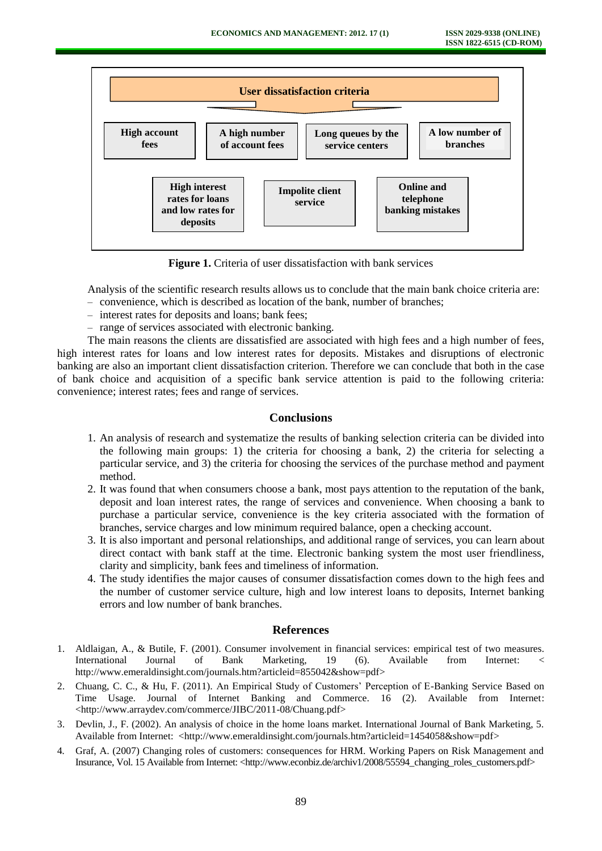

**Figure 1.** Criteria of user dissatisfaction with bank services

Analysis of the scientific research results allows us to conclude that the main bank choice criteria are:

- convenience, which is described as location of the bank, number of branches;
- interest rates for deposits and loans; bank fees;
- range of services associated with electronic banking.

The main reasons the clients are dissatisfied are associated with high fees and a high number of fees, high interest rates for loans and low interest rates for deposits. Mistakes and disruptions of electronic banking are also an important client dissatisfaction criterion. Therefore we can conclude that both in the case of bank choice and acquisition of a specific bank service attention is paid to the following criteria: convenience; interest rates; fees and range of services.

# **Conclusions**

- 1. An analysis of research and systematize the results of banking selection criteria can be divided into the following main groups: 1) the criteria for choosing a bank, 2) the criteria for selecting a particular service, and 3) the criteria for choosing the services of the purchase method and payment method.
- 2. It was found that when consumers choose a bank, most pays attention to the reputation of the bank, deposit and loan interest rates, the range of services and convenience. When choosing a bank to purchase a particular service, convenience is the key criteria associated with the formation of branches, service charges and low minimum required balance, open a checking account.
- 3. It is also important and personal relationships, and additional range of services, you can learn about direct contact with bank staff at the time. Electronic banking system the most user friendliness, clarity and simplicity, bank fees and timeliness of information.
- 4. The study identifies the major causes of consumer dissatisfaction comes down to the high fees and the number of customer service culture, high and low interest loans to deposits, Internet banking errors and low number of bank branches.

#### **References**

- 1. Aldlaigan, A., & Butile, F. (2001). Consumer involvement in financial services: empirical test of two measures. International Journal of Bank Marketing, 19 (6). Available from Internet: < [http://www.emeraldinsight.com/journals.htm?articleid=855042&show=pdf>](http://www.emeraldinsight.com/journals.htm?articleid=855042&show=pdf)
- 2. Chuang, C. C., & Hu, F. (2011). An Empirical Study of Customers' Perception of E-Banking Service Based on Time Usage. Journal of Internet Banking and Commerce. 16 (2). Available from Internet: [<http://www.arraydev.com/commerce/JIBC/2011-08/Chuang.pdf>](http://www.arraydev.com/commerce/JIBC/2011-08/Chuang.pdf)
- 3. Devlin, J., F. (2002). An analysis of choice in the home loans market. International Journal of Bank Marketing, 5. Available from Internet: [<http://www.emeraldinsight.com/journals.htm?articleid=1454058&show=pdf>](http://www.emeraldinsight.com/journals.htm?articleid=1454058&show=pdf)
- 4. Graf, A. (2007) Changing roles of customers: consequences for HRM. Working Papers on Risk Management and Insurance, Vol. 15 Available from Internet: [<http://www.econbiz.de/archiv1/2008/55594\\_changing\\_roles\\_customers.pdf>](http://www.econbiz.de/archiv1/2008/55594_changing_roles_customers.pdf)